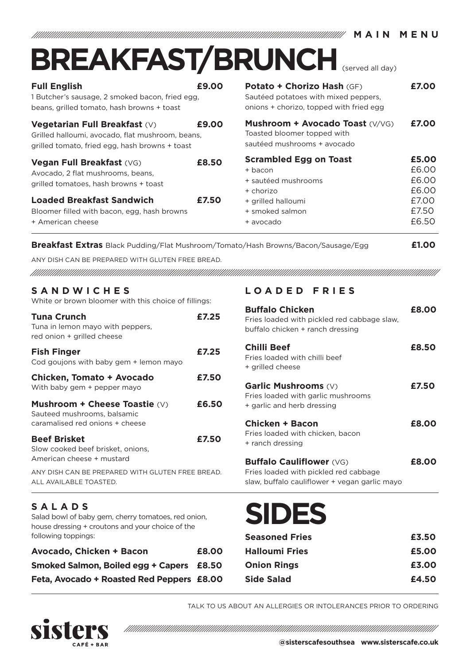|                                                                                                                                            |       | <b>BREAKFAST/BRUNCH</b>                                                                                       |                                  |
|--------------------------------------------------------------------------------------------------------------------------------------------|-------|---------------------------------------------------------------------------------------------------------------|----------------------------------|
| <b>Full English</b><br>1 Butcher's sausage, 2 smoked bacon, fried egg,<br>beans, grilled tomato, hash browns + toast                       | £9.00 | Potato + Chorizo Hash (GF)<br>Sautéed potatoes with mixed peppers,<br>onions + chorizo, topped with fried egg | £7.00                            |
| <b>Vegetarian Full Breakfast (V)</b><br>Grilled halloumi, avocado, flat mushroom, beans,<br>grilled tomato, fried egg, hash browns + toast | £9.00 | Mushroom + Avocado Toast (V/VG)<br>Toasted bloomer topped with<br>sautéed mushrooms + avocado                 | £7.00                            |
| Vegan Full Breakfast (VG)<br>Avocado, 2 flat mushrooms, beans,<br>grilled tomatoes, hash browns + toast                                    | £8.50 | <b>Scrambled Egg on Toast</b><br>+ bacon<br>+ sautéed mushrooms<br>+ chorizo                                  | £5.00<br>£6.00<br>£6.00<br>£6.00 |
| <b>Loaded Breakfast Sandwich</b><br>Bloomer filled with bacon, egg, hash browns<br>+ American cheese                                       | £7.50 | + grilled halloumi<br>+ smoked salmon<br>+ avocado                                                            | £7.00<br>£7.50<br>£6.50          |
| <b>Breakfast Extras</b> Black Pudding/Flat Mushroom/Tomato/Hash Browns/Bacon/Sausage/Egg                                                   |       |                                                                                                               | £1.00                            |

**MAIN MAIN CONTRACT MARKET MARKET NUMBER 1999** 

ANY DISH CAN BE PREPARED WITH GLUTEN FREE BREAD.

, TAANI ANIMAANI ANIMAANI AHAANI AHAANI AHAANI AHAANI AHAANI AHAANI AHAANI AHAANI AHAANI AHAANI AHAANI AHAANI

## **SANDWICHES** White or brown bloomer with this choice of fillings:

| Tuna Crunch<br>Tuna in lemon mayo with peppers,<br>red onion + grilled cheese                   | £7.25 |
|-------------------------------------------------------------------------------------------------|-------|
| <b>Fish Finger</b><br>Cod goujons with baby gem + lemon mayo                                    | £7.25 |
| <b>Chicken, Tomato + Avocado</b><br>With baby gem + pepper mayo                                 | £7.50 |
| Mushroom + Cheese Toastie (V)<br>Sauteed mushrooms, balsamic<br>caramalised red onions + cheese | £6.50 |
| <b>Beef Brisket</b><br>Slow cooked beef brisket, onions,<br>American cheese + mustard           | £7.50 |
| ANY DISH CAN BE PREPARED WITH GLUTEN FREE BREAD.<br>ALL AVAILABLE TOASTED.                      |       |
| <b>SALADS</b><br>Salad bowl of baby gem, cherry tomatoes, red onion,                            |       |

house dressing + croutons and your choice of the following toppings:

| Avocado, Chicken + Bacon                  | £8.00 |
|-------------------------------------------|-------|
| Smoked Salmon, Boiled egg + Capers £8.50  |       |
| Feta, Avocado + Roasted Red Peppers £8.00 |       |

## **LOADED FRIES**

| <b>Buffalo Chicken</b><br>Fries loaded with pickled red cabbage slaw,<br>buffalo chicken + ranch dressing | <b>F8.00</b> |
|-----------------------------------------------------------------------------------------------------------|--------------|
| Chilli Beef<br>Fries loaded with chilli beef<br>+ grilled cheese                                          | £8.50        |
| <b>Garlic Mushrooms (V)</b><br>Fries loaded with garlic mushrooms<br>+ garlic and herb dressing           | £7.50        |
| <b>Chicken + Bacon</b><br>Fries loaded with chicken, bacon<br>+ ranch dressing                            | £8.00        |
| <b>Buffalo Cauliflower (VG)</b><br>Fries loaded with pickled red cabbage                                  | £8.00        |

slaw, buffalo cauliflower + vegan garlic mayo



| <b>Seasoned Fries</b> | £3.50 |
|-----------------------|-------|
| <b>Halloumi Fries</b> | £5.00 |
| <b>Onion Rings</b>    | £3.00 |
| <b>Side Salad</b>     | £4.50 |
|                       |       |

TALK TO US ABOUT AN ALLERGIES OR INTOLERANCES PRIOR TO ORDERING